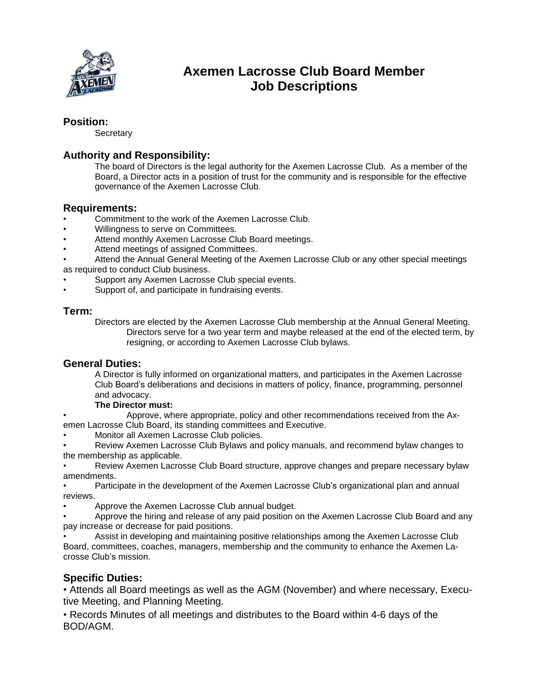

# **Axemen Lacrosse Club Board Member Job Descriptions**

### **Position:**

**Secretary** 

# **Authority and Responsibility:**

The board of Directors is the legal authority for the Axemen Lacrosse Club. As a member of the Board, a Director acts in a position of trust for the community and is responsible for the effective governance of the Axemen Lacrosse Club.

#### **Requirements:**

- Commitment to the work of the Axemen Lacrosse Club.
- Willingness to serve on Committees.
- Attend monthly Axemen Lacrosse Club Board meetings.
- Attend meetings of assigned Committees.
- Attend the Annual General Meeting of the Axemen Lacrosse Club or any other special meetings as required to conduct Club business.
- Support any Axemen Lacrosse Club special events.
- Support of, and participate in fundraising events.

#### **Term:**

Directors are elected by the Axemen Lacrosse Club membership at the Annual General Meeting. Directors serve for a two year term and maybe released at the end of the elected term, by resigning, or according to Axemen Lacrosse Club bylaws.

#### **General Duties:**

A Director is fully informed on organizational matters, and participates in the Axemen Lacrosse Club Board's deliberations and decisions in matters of policy, finance, programming, personnel and advocacy.

#### **The Director must:**

• Approve, where appropriate, policy and other recommendations received from the Axemen Lacrosse Club Board, its standing committees and Executive.

• Monitor all Axemen Lacrosse Club policies.

• Review Axemen Lacrosse Club Bylaws and policy manuals, and recommend bylaw changes to the membership as applicable.

• Review Axemen Lacrosse Club Board structure, approve changes and prepare necessary bylaw amendments.

• Participate in the development of the Axemen Lacrosse Club's organizational plan and annual reviews.

• Approve the Axemen Lacrosse Club annual budget.

• Approve the hiring and release of any paid position on the Axemen Lacrosse Club Board and any pay increase or decrease for paid positions.

• Assist in developing and maintaining positive relationships among the Axemen Lacrosse Club Board, committees, coaches, managers, membership and the community to enhance the Axemen Lacrosse Club's mission.

## **Specific Duties:**

• Attends all Board meetings as well as the AGM (November) and where necessary, Executive Meeting, and Planning Meeting.

• Records Minutes of all meetings and distributes to the Board within 4-6 days of the BOD/AGM.